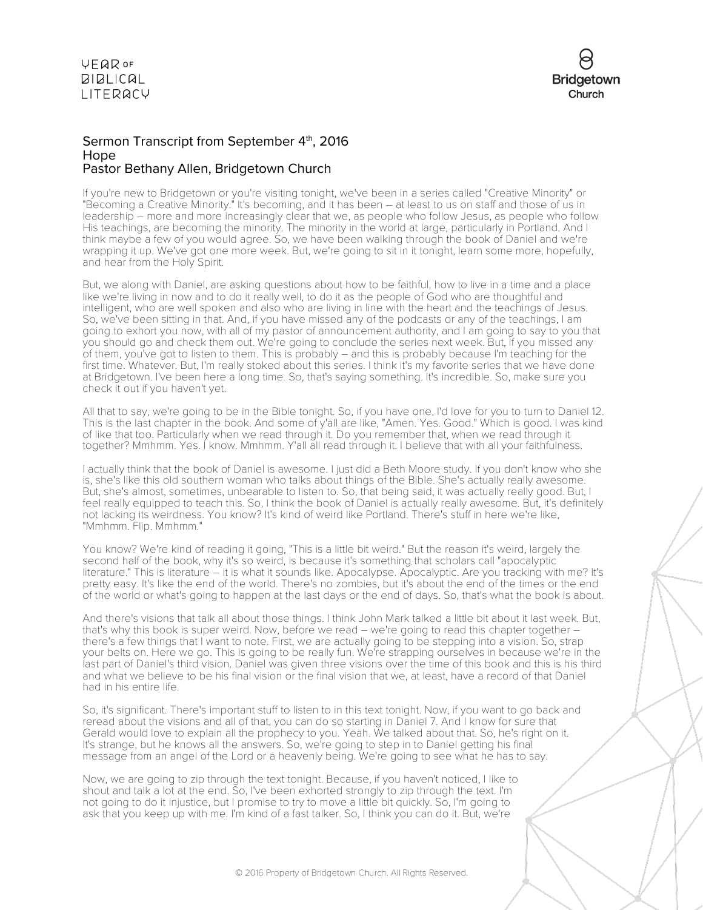

#### Sermon Transcript from September 4th, 2016 Hope Pastor Bethany Allen, Bridgetown Church

If you're new to Bridgetown or you're visiting tonight, we've been in a series called "Creative Minority" or "Becoming a Creative Minority." It's becoming, and it has been – at least to us on staff and those of us in leadership – more and more increasingly clear that we, as people who follow Jesus, as people who follow His teachings, are becoming the minority. The minority in the world at large, particularly in Portland. And I think maybe a few of you would agree. So, we have been walking through the book of Daniel and we're wrapping it up. We've got one more week. But, we're going to sit in it tonight, learn some more, hopefully, and hear from the Holy Spirit.

But, we along with Daniel, are asking questions about how to be faithful, how to live in a time and a place like we're living in now and to do it really well, to do it as the people of God who are thoughtful and intelligent, who are well spoken and also who are living in line with the heart and the teachings of Jesus. So, we've been sitting in that. And, if you have missed any of the podcasts or any of the teachings, I am going to exhort you now, with all of my pastor of announcement authority, and I am going to say to you that you should go and check them out. We're going to conclude the series next week. But, if you missed any of them, you've got to listen to them. This is probably – and this is probably because I'm teaching for the first time. Whatever. But, I'm really stoked about this series. I think it's my favorite series that we have done at Bridgetown. I've been here a long time. So, that's saying something. It's incredible. So, make sure you check it out if you haven't yet.

All that to say, we're going to be in the Bible tonight. So, if you have one, I'd love for you to turn to Daniel 12. This is the last chapter in the book. And some of y'all are like, "Amen. Yes. Good." Which is good. I was kind of like that too. Particularly when we read through it. Do you remember that, when we read through it together? Mmhmm. Yes. I know. Mmhmm. Y'all all read through it. I believe that with all your faithfulness.

I actually think that the book of Daniel is awesome. I just did a Beth Moore study. If you don't know who she is, she's like this old southern woman who talks about things of the Bible. She's actually really awesome. But, she's almost, sometimes, unbearable to listen to. So, that being said, it was actually really good. But, I feel really equipped to teach this. So, I think the book of Daniel is actually really awesome. But, it's definitely not lacking its weirdness. You know? It's kind of weird like Portland. There's stuff in here we're like, "Mmhmm. Flip. Mmhmm."

You know? We're kind of reading it going, "This is a little bit weird." But the reason it's weird, largely the second half of the book, why it's so weird, is because it's something that scholars call "apocalyptic literature." This is literature – it is what it sounds like. Apocalypse. Apocalyptic. Are you tracking with me? It's pretty easy. It's like the end of the world. There's no zombies, but it's about the end of the times or the end of the world or what's going to happen at the last days or the end of days. So, that's what the book is about.

And there's visions that talk all about those things. I think John Mark talked a little bit about it last week. But, that's why this book is super weird. Now, before we read – we're going to read this chapter together – there's a few things that I want to note. First, we are actually going to be stepping into a vision. So, strap your belts on. Here we go. This is going to be really fun. We're strapping ourselves in because we're in the last part of Daniel's third vision. Daniel was given three visions over the time of this book and this is his third and what we believe to be his final vision or the final vision that we, at least, have a record of that Daniel had in his entire life.

So, it's significant. There's important stuff to listen to in this text tonight. Now, if you want to go back and reread about the visions and all of that, you can do so starting in Daniel 7. And I know for sure that Gerald would love to explain all the prophecy to you. Yeah. We talked about that. So, he's right on it. It's strange, but he knows all the answers. So, we're going to step in to Daniel getting his final message from an angel of the Lord or a heavenly being. We're going to see what he has to say.

Now, we are going to zip through the text tonight. Because, if you haven't noticed, I like to shout and talk a lot at the end. So, I've been exhorted strongly to zip through the text. I'm not going to do it injustice, but I promise to try to move a little bit quickly. So, I'm going to ask that you keep up with me. I'm kind of a fast talker. So, I think you can do it. But, we're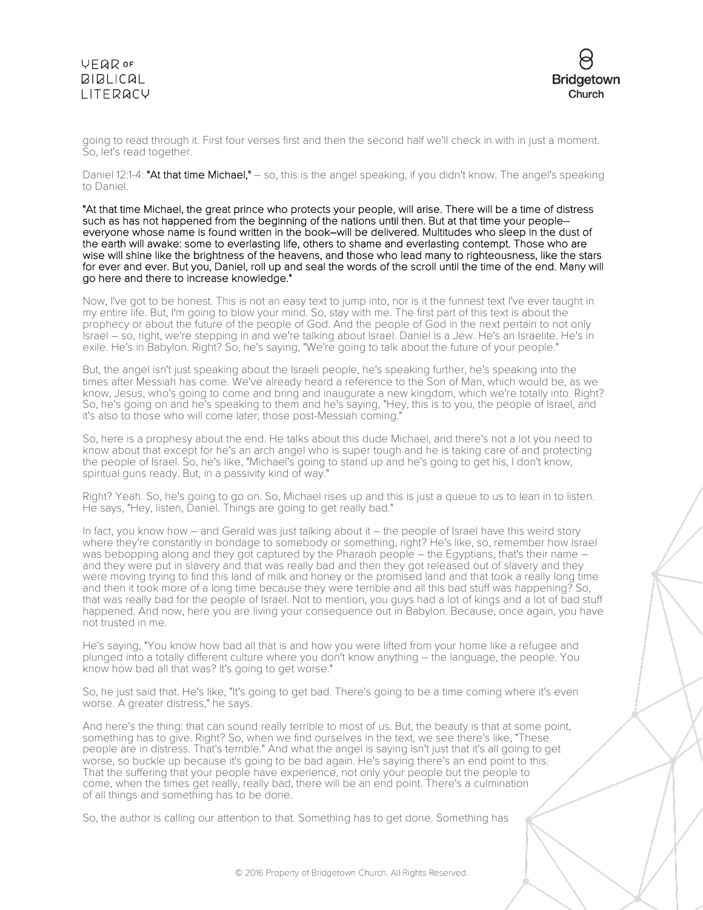### **VEQR OF**  $BIBLICAL$ LITERACY



going to read through it. First four verses first and then the second half we'll check in with in just a moment. So, let's read together.

Daniel 12:1-4: "At that time Michael," - so, this is the angel speaking, if you didn't know. The angel's speaking to Daniel.

"At that time Michael, the great prince who protects your people, will arise. There will be a time of distress such as has not happened from the beginning of the nations until then. But at that time your people– everyone whose name is found written in the book–will be delivered. Multitudes who sleep in the dust of the earth will awake: some to everlasting life, others to shame and everlasting contempt. Those who are wise will shine like the brightness of the heavens, and those who lead many to righteousness, like the stars for ever and ever. But you, Daniel, roll up and seal the words of the scroll until the time of the end. Many will go here and there to increase knowledge."

Now, I've got to be honest. This is not an easy text to jump into, nor is it the funnest text I've ever taught in my entire life. But, I'm going to blow your mind. So, stay with me. The first part of this text is about the prophecy or about the future of the people of God. And the people of God in the next pertain to not only Israel – so, right, we're stepping in and we're talking about Israel. Daniel is a Jew. He's an Israelite. He's in exile. He's in Babylon. Right? So, he's saying, "We're going to talk about the future of your people."

But, the angel isn't just speaking about the Israeli people, he's speaking further, he's speaking into the times after Messiah has come. We've already heard a reference to the Son of Man, which would be, as we know, Jesus, who's going to come and bring and inaugurate a new kingdom, which we're totally into. Right? So, he's going on and he's speaking to them and he's saying, "Hey, this is to you, the people of Israel, and it's also to those who will come later; those post-Messiah coming.

So, here is a prophesy about the end. He talks about this dude Michael, and there's not a lot you need to know about that except for he's an arch angel who is super tough and he is taking care of and protecting the people of Israel. So, he's like, "Michael's going to stand up and he's going to get his, I don't know, spiritual guns ready. But, in a passivity kind of way."

Right? Yeah. So, he's going to go on. So, Michael rises up and this is just a queue to us to lean in to listen. He says, "Hey, listen, Daniel. Things are going to get really bad."

In fact, you know how – and Gerald was just talking about it – the people of Israel have this weird story where they're constantly in bondage to somebody or something, right? He's like, so, remember how Israel was bebopping along and they got captured by the Pharaoh people – the Egyptians, that's their name – and they were put in slavery and that was really bad and then they got released out of slavery and they were moving trying to find this land of milk and honey or the promised land and that took a really long time and then it took more of a long time because they were terrible and all this bad stuff was happening? So, that was really bad for the people of Israel. Not to mention, you guys had a lot of kings and a lot of bad stuff happened. And now, here you are living your consequence out in Babylon. Because, once again, you have not trusted in me.

He's saying, "You know how bad all that is and how you were lifted from your home like a refugee and plunged into a totally different culture where you don't know anything – the language, the people. You know how bad all that was? It's going to get worse."

So, he just said that. He's like, "It's going to get bad. There's going to be a time coming where it's even worse. A greater distress," he says.

And here's the thing: that can sound really terrible to most of us. But, the beauty is that at some point, something has to give. Right? So, when we find ourselves in the text, we see there's like, "These people are in distress. That's terrible." And what the angel is saying isn't just that it's all going to get worse, so buckle up because it's going to be bad again. He's saying there's an end point to this. That the suffering that your people have experience, not only your people but the people to come, when the times get really, really bad, there will be an end point. There's a culmination of all things and something has to be done.

So, the author is calling our attention to that. Something has to get done. Something has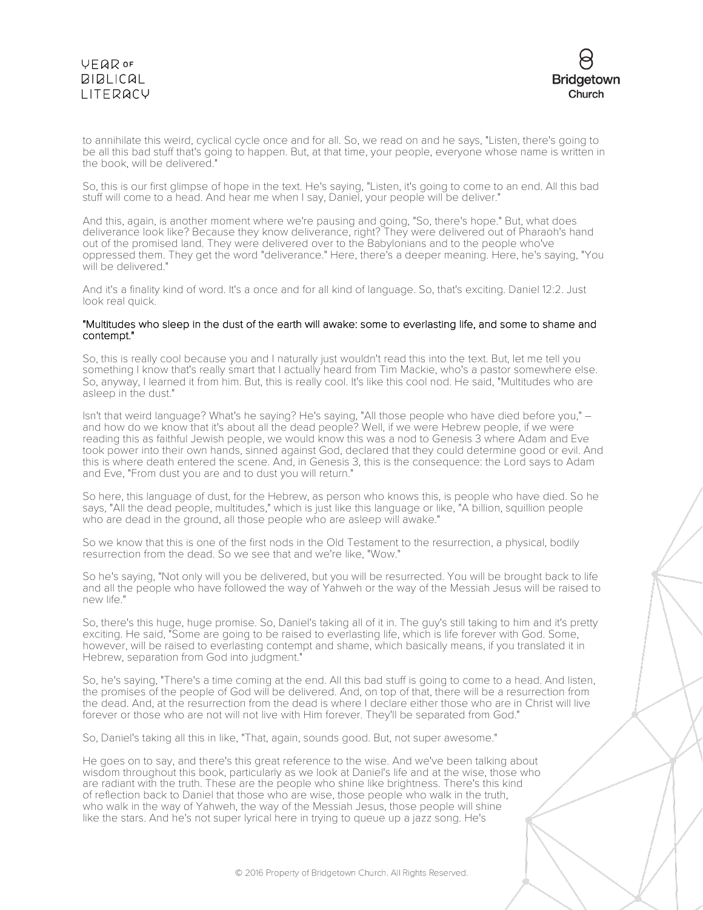### VEQROF **BIBLICAL** LITERACY



to annihilate this weird, cyclical cycle once and for all. So, we read on and he says, "Listen, there's going to be all this bad stuff that's going to happen. But, at that time, your people, everyone whose name is written in the book, will be delivered."

So, this is our first glimpse of hope in the text. He's saying, "Listen, it's going to come to an end. All this bad stuff will come to a head. And hear me when I say, Daniel, your people will be deliver."

And this, again, is another moment where we're pausing and going, "So, there's hope." But, what does deliverance look like? Because they know deliverance, right? They were delivered out of Pharaoh's hand out of the promised land. They were delivered over to the Babylonians and to the people who've oppressed them. They get the word "deliverance." Here, there's a deeper meaning. Here, he's saying, "You will be delivered."

And it's a finality kind of word. It's a once and for all kind of language. So, that's exciting. Daniel 12:2. Just look real quick.

#### "Multitudes who sleep in the dust of the earth will awake: some to everlasting life, and some to shame and contempt."

So, this is really cool because you and I naturally just wouldn't read this into the text. But, let me tell you something I know that's really smart that I actually heard from Tim Mackie, who's a pastor somewhere else. So, anyway, I learned it from him. But, this is really cool. It's like this cool nod. He said, "Multitudes who are asleep in the dust."

Isn't that weird language? What's he saying? He's saying, "All those people who have died before you," – and how do we know that it's about all the dead people? Well, if we were Hebrew people, if we were reading this as faithful Jewish people, we would know this was a nod to Genesis 3 where Adam and Eve took power into their own hands, sinned against God, declared that they could determine good or evil. And this is where death entered the scene. And, in Genesis 3, this is the consequence: the Lord says to Adam and Eve, "From dust you are and to dust you will return."

So here, this language of dust, for the Hebrew, as person who knows this, is people who have died. So he says, "All the dead people, multitudes," which is just like this language or like, "A billion, squillion people who are dead in the ground, all those people who are asleep will awake."

So we know that this is one of the first nods in the Old Testament to the resurrection, a physical, bodily resurrection from the dead. So we see that and we're like, "Wow."

So he's saying, "Not only will you be delivered, but you will be resurrected. You will be brought back to life and all the people who have followed the way of Yahweh or the way of the Messiah Jesus will be raised to new life."

So, there's this huge, huge promise. So, Daniel's taking all of it in. The guy's still taking to him and it's pretty exciting. He said, "Some are going to be raised to everlasting life, which is life forever with God. Some, however, will be raised to everlasting contempt and shame, which basically means, if you translated it in Hebrew, separation from God into judgment."

So, he's saying, "There's a time coming at the end. All this bad stuff is going to come to a head. And listen, the promises of the people of God will be delivered. And, on top of that, there will be a resurrection from the dead. And, at the resurrection from the dead is where I declare either those who are in Christ will live forever or those who are not will not live with Him forever. They'll be separated from God."

So, Daniel's taking all this in like, "That, again, sounds good. But, not super awesome."

He goes on to say, and there's this great reference to the wise. And we've been talking about wisdom throughout this book, particularly as we look at Daniel's life and at the wise, those who are radiant with the truth. These are the people who shine like brightness. There's this kind of reflection back to Daniel that those who are wise, those people who walk in the truth, who walk in the way of Yahweh, the way of the Messiah Jesus, those people will shine like the stars. And he's not super lyrical here in trying to queue up a jazz song. He's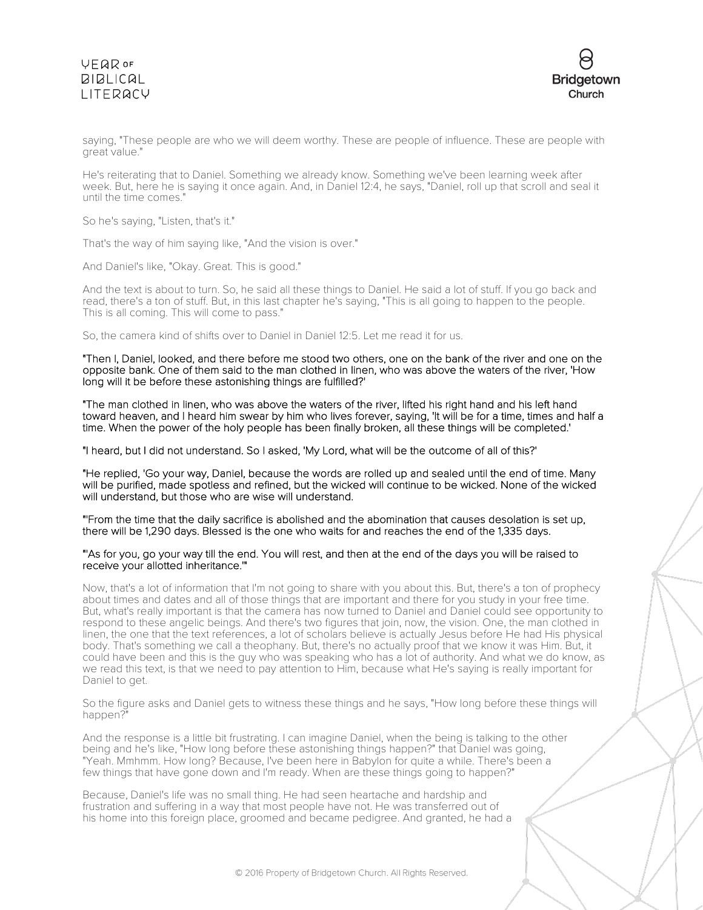# **VFQR OF BIBLICAL** LITERACY



saying, "These people are who we will deem worthy. These are people of influence. These are people with great value."

He's reiterating that to Daniel. Something we already know. Something we've been learning week after week. But, here he is saying it once again. And, in Daniel 12:4, he says, "Daniel, roll up that scroll and seal it until the time comes."

So he's saying, "Listen, that's it."

That's the way of him saying like, "And the vision is over."

And Daniel's like, "Okay. Great. This is good."

And the text is about to turn. So, he said all these things to Daniel. He said a lot of stuff. If you go back and read, there's a ton of stuff. But, in this last chapter he's saying, "This is all going to happen to the people. This is all coming. This will come to pass."

So, the camera kind of shifts over to Daniel in Daniel 12:5. Let me read it for us.

"Then I, Daniel, looked, and there before me stood two others, one on the bank of the river and one on the opposite bank. One of them said to the man clothed in linen, who was above the waters of the river, 'How long will it be before these astonishing things are fulfilled?'

"The man clothed in linen, who was above the waters of the river, lifted his right hand and his left hand toward heaven, and I heard him swear by him who lives forever, saying, 'It will be for a time, times and half a time. When the power of the holy people has been finally broken, all these things will be completed.'

"I heard, but I did not understand. So I asked, 'My Lord, what will be the outcome of all of this?'

"He replied, 'Go your way, Daniel, because the words are rolled up and sealed until the end of time. Many will be purified, made spotless and refined, but the wicked will continue to be wicked. None of the wicked will understand, but those who are wise will understand.

"'From the time that the daily sacrifice is abolished and the abomination that causes desolation is set up, there will be 1,290 days. Blessed is the one who waits for and reaches the end of the 1,335 days.

#### "'As for you, go your way till the end. You will rest, and then at the end of the days you will be raised to receive your allotted inheritance.'"

Now, that's a lot of information that I'm not going to share with you about this. But, there's a ton of prophecy about times and dates and all of those things that are important and there for you study in your free time. But, what's really important is that the camera has now turned to Daniel and Daniel could see opportunity to respond to these angelic beings. And there's two figures that join, now, the vision. One, the man clothed in linen, the one that the text references, a lot of scholars believe is actually Jesus before He had His physical body. That's something we call a theophany. But, there's no actually proof that we know it was Him. But, it could have been and this is the guy who was speaking who has a lot of authority. And what we do know, as we read this text, is that we need to pay attention to Him, because what He's saying is really important for Daniel to get.

So the figure asks and Daniel gets to witness these things and he says, "How long before these things will happen?"

And the response is a little bit frustrating. I can imagine Daniel, when the being is talking to the other being and he's like, "How long before these astonishing things happen?" that Daniel was going, "Yeah. Mmhmm. How long? Because, I've been here in Babylon for quite a while. There's been a few things that have gone down and I'm ready. When are these things going to happen?"

Because, Daniel's life was no small thing. He had seen heartache and hardship and frustration and suffering in a way that most people have not. He was transferred out of his home into this foreign place, groomed and became pedigree. And granted, he had a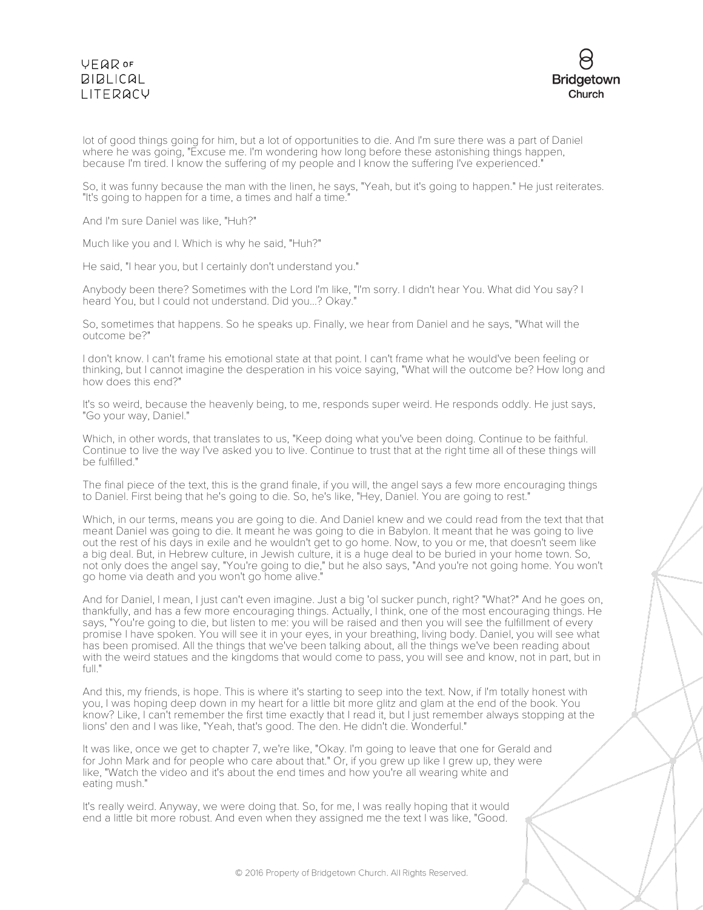# **VFQR OF BIBLICAL** LITERACY



lot of good things going for him, but a lot of opportunities to die. And I'm sure there was a part of Daniel where he was going, "Excuse me. I'm wondering how long before these astonishing things happen, because I'm tired. I know the suffering of my people and I know the suffering I've experienced."

So, it was funny because the man with the linen, he says, "Yeah, but it's going to happen." He just reiterates. "It's going to happen for a time, a times and half a time."

And I'm sure Daniel was like, "Huh?"

Much like you and I. Which is why he said, "Huh?"

He said, "I hear you, but I certainly don't understand you."

Anybody been there? Sometimes with the Lord I'm like, "I'm sorry. I didn't hear You. What did You say? I heard You, but I could not understand. Did you...? Okay."

So, sometimes that happens. So he speaks up. Finally, we hear from Daniel and he says, "What will the outcome be?"

I don't know. I can't frame his emotional state at that point. I can't frame what he would've been feeling or thinking, but I cannot imagine the desperation in his voice saying, "What will the outcome be? How long and how does this end?"

It's so weird, because the heavenly being, to me, responds super weird. He responds oddly. He just says, "Go your way, Daniel."

Which, in other words, that translates to us, "Keep doing what you've been doing. Continue to be faithful. Continue to live the way I've asked you to live. Continue to trust that at the right time all of these things will be fulfilled."

The final piece of the text, this is the grand finale, if you will, the angel says a few more encouraging things to Daniel. First being that he's going to die. So, he's like, "Hey, Daniel. You are going to rest."

Which, in our terms, means you are going to die. And Daniel knew and we could read from the text that that meant Daniel was going to die. It meant he was going to die in Babylon. It meant that he was going to live out the rest of his days in exile and he wouldn't get to go home. Now, to you or me, that doesn't seem like a big deal. But, in Hebrew culture, in Jewish culture, it is a huge deal to be buried in your home town. So, not only does the angel say, "You're going to die," but he also says, "And you're not going home. You won't go home via death and you won't go home alive."

And for Daniel, I mean, I just can't even imagine. Just a big 'ol sucker punch, right? "What?" And he goes on, thankfully, and has a few more encouraging things. Actually, I think, one of the most encouraging things. He says, "You're going to die, but listen to me: you will be raised and then you will see the fulfillment of every promise I have spoken. You will see it in your eyes, in your breathing, living body. Daniel, you will see what has been promised. All the things that we've been talking about, all the things we've been reading about with the weird statues and the kingdoms that would come to pass, you will see and know, not in part, but in full."

And this, my friends, is hope. This is where it's starting to seep into the text. Now, if I'm totally honest with you, I was hoping deep down in my heart for a little bit more glitz and glam at the end of the book. You know? Like, I can't remember the first time exactly that I read it, but I just remember always stopping at the lions' den and I was like, "Yeah, that's good. The den. He didn't die. Wonderful."

It was like, once we get to chapter 7, we're like, "Okay. I'm going to leave that one for Gerald and for John Mark and for people who care about that." Or, if you grew up like I grew up, they were like, "Watch the video and it's about the end times and how you're all wearing white and eating mush."

It's really weird. Anyway, we were doing that. So, for me, I was really hoping that it would end a little bit more robust. And even when they assigned me the text I was like, "Good.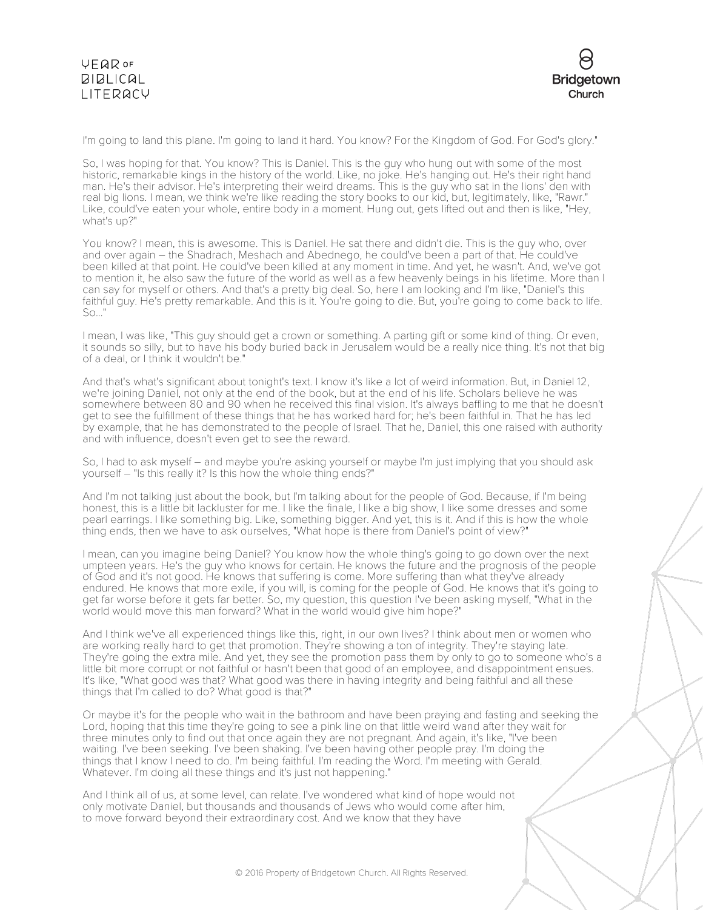

I'm going to land this plane. I'm going to land it hard. You know? For the Kingdom of God. For God's glory."

So, I was hoping for that. You know? This is Daniel. This is the guy who hung out with some of the most historic, remarkable kings in the history of the world. Like, no joke. He's hanging out. He's their right hand man. He's their advisor. He's interpreting their weird dreams. This is the guy who sat in the lions' den with real big lions. I mean, we think we're like reading the story books to our kid, but, legitimately, like, "Rawr." Like, could've eaten your whole, entire body in a moment. Hung out, gets lifted out and then is like, "Hey, what's up?"

You know? I mean, this is awesome. This is Daniel. He sat there and didn't die. This is the guy who, over and over again – the Shadrach, Meshach and Abednego, he could've been a part of that. He could've been killed at that point. He could've been killed at any moment in time. And yet, he wasn't. And, we've got to mention it, he also saw the future of the world as well as a few heavenly beings in his lifetime. More than I can say for myself or others. And that's a pretty big deal. So, here I am looking and I'm like, "Daniel's this faithful guy. He's pretty remarkable. And this is it. You're going to die. But, you're going to come back to life. So..."

I mean, I was like, "This guy should get a crown or something. A parting gift or some kind of thing. Or even, it sounds so silly, but to have his body buried back in Jerusalem would be a really nice thing. It's not that big of a deal, or I think it wouldn't be."

And that's what's significant about tonight's text. I know it's like a lot of weird information. But, in Daniel 12, we're joining Daniel, not only at the end of the book, but at the end of his life. Scholars believe he was somewhere between 80 and 90 when he received this final vision. It's always baffling to me that he doesn't get to see the fulfillment of these things that he has worked hard for; he's been faithful in. That he has led by example, that he has demonstrated to the people of Israel. That he, Daniel, this one raised with authority and with influence, doesn't even get to see the reward.

So, I had to ask myself – and maybe you're asking yourself or maybe I'm just implying that you should ask yourself – "Is this really it? Is this how the whole thing ends?"

And I'm not talking just about the book, but I'm talking about for the people of God. Because, if I'm being honest, this is a little bit lackluster for me. I like the finale, I like a big show, I like some dresses and some pearl earrings. I like something big. Like, something bigger. And yet, this is it. And if this is how the whole thing ends, then we have to ask ourselves, "What hope is there from Daniel's point of view?"

I mean, can you imagine being Daniel? You know how the whole thing's going to go down over the next umpteen years. He's the guy who knows for certain. He knows the future and the prognosis of the people of God and it's not good. He knows that suffering is come. More suffering than what they've already endured. He knows that more exile, if you will, is coming for the people of God. He knows that it's going to get far worse before it gets far better. So, my question, this question I've been asking myself, "What in the world would move this man forward? What in the world would give him hope?"

And I think we've all experienced things like this, right, in our own lives? I think about men or women who are working really hard to get that promotion. They're showing a ton of integrity. They're staying late. They're going the extra mile. And yet, they see the promotion pass them by only to go to someone who's a little bit more corrupt or not faithful or hasn't been that good of an employee, and disappointment ensues. It's like, "What good was that? What good was there in having integrity and being faithful and all these things that I'm called to do? What good is that?"

Or maybe it's for the people who wait in the bathroom and have been praying and fasting and seeking the Lord, hoping that this time they're going to see a pink line on that little weird wand after they wait for three minutes only to find out that once again they are not pregnant. And again, it's like, "I've been waiting. I've been seeking. I've been shaking. I've been having other people pray. I'm doing the things that I know I need to do. I'm being faithful. I'm reading the Word. I'm meeting with Gerald. Whatever. I'm doing all these things and it's just not happening."

And I think all of us, at some level, can relate. I've wondered what kind of hope would not only motivate Daniel, but thousands and thousands of Jews who would come after him, to move forward beyond their extraordinary cost. And we know that they have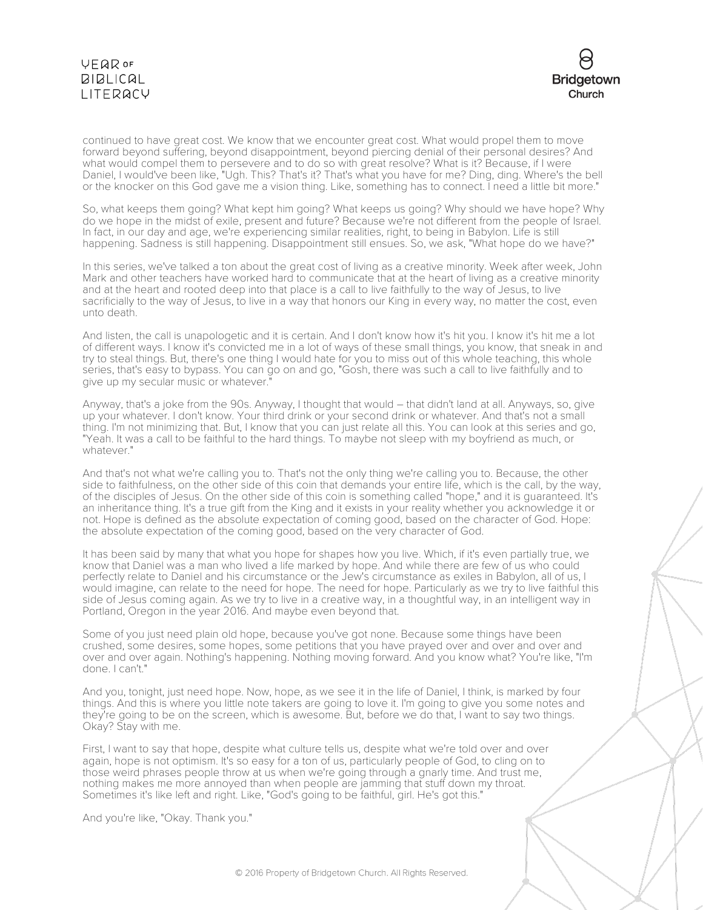# **VEQR OF BIBLICAL** LITERACY



continued to have great cost. We know that we encounter great cost. What would propel them to move forward beyond suffering, beyond disappointment, beyond piercing denial of their personal desires? And what would compel them to persevere and to do so with great resolve? What is it? Because, if I were Daniel, I would've been like, "Ugh. This? That's it? That's what you have for me? Ding, ding. Where's the bell or the knocker on this God gave me a vision thing. Like, something has to connect. I need a little bit more."

So, what keeps them going? What kept him going? What keeps us going? Why should we have hope? Why do we hope in the midst of exile, present and future? Because we're not different from the people of Israel. In fact, in our day and age, we're experiencing similar realities, right, to being in Babylon. Life is still happening. Sadness is still happening. Disappointment still ensues. So, we ask, "What hope do we have?"

In this series, we've talked a ton about the great cost of living as a creative minority. Week after week, John Mark and other teachers have worked hard to communicate that at the heart of living as a creative minority and at the heart and rooted deep into that place is a call to live faithfully to the way of Jesus, to live sacrificially to the way of Jesus, to live in a way that honors our King in every way, no matter the cost, even unto death.

And listen, the call is unapologetic and it is certain. And I don't know how it's hit you. I know it's hit me a lot of different ways. I know it's convicted me in a lot of ways of these small things, you know, that sneak in and try to steal things. But, there's one thing I would hate for you to miss out of this whole teaching, this whole series, that's easy to bypass. You can go on and go, "Gosh, there was such a call to live faithfully and to give up my secular music or whatever.

Anyway, that's a joke from the 90s. Anyway, I thought that would – that didn't land at all. Anyways, so, give up your whatever. I don't know. Your third drink or your second drink or whatever. And that's not a small thing. I'm not minimizing that. But, I know that you can just relate all this. You can look at this series and go, "Yeah. It was a call to be faithful to the hard things. To maybe not sleep with my boyfriend as much, or whatever."

And that's not what we're calling you to. That's not the only thing we're calling you to. Because, the other side to faithfulness, on the other side of this coin that demands your entire life, which is the call, by the way, of the disciples of Jesus. On the other side of this coin is something called "hope," and it is guaranteed. It's an inheritance thing. It's a true gift from the King and it exists in your reality whether you acknowledge it or not. Hope is defined as the absolute expectation of coming good, based on the character of God. Hope: the absolute expectation of the coming good, based on the very character of God.

It has been said by many that what you hope for shapes how you live. Which, if it's even partially true, we know that Daniel was a man who lived a life marked by hope. And while there are few of us who could perfectly relate to Daniel and his circumstance or the Jew's circumstance as exiles in Babylon, all of us, I would imagine, can relate to the need for hope. The need for hope. Particularly as we try to live faithful this side of Jesus coming again. As we try to live in a creative way, in a thoughtful way, in an intelligent way in Portland, Oregon in the year 2016. And maybe even beyond that.

Some of you just need plain old hope, because you've got none. Because some things have been crushed, some desires, some hopes, some petitions that you have prayed over and over and over and over and over again. Nothing's happening. Nothing moving forward. And you know what? You're like, "I'm done. I can't."

And you, tonight, just need hope. Now, hope, as we see it in the life of Daniel, I think, is marked by four things. And this is where you little note takers are going to love it. I'm going to give you some notes and they're going to be on the screen, which is awesome. But, before we do that, I want to say two things. Okay? Stay with me.

First, I want to say that hope, despite what culture tells us, despite what we're told over and over again, hope is not optimism. It's so easy for a ton of us, particularly people of God, to cling on to those weird phrases people throw at us when we're going through a gnarly time. And trust me, nothing makes me more annoyed than when people are jamming that stuff down my throat. Sometimes it's like left and right. Like, "God's going to be faithful, girl. He's got this."

And you're like, "Okay. Thank you."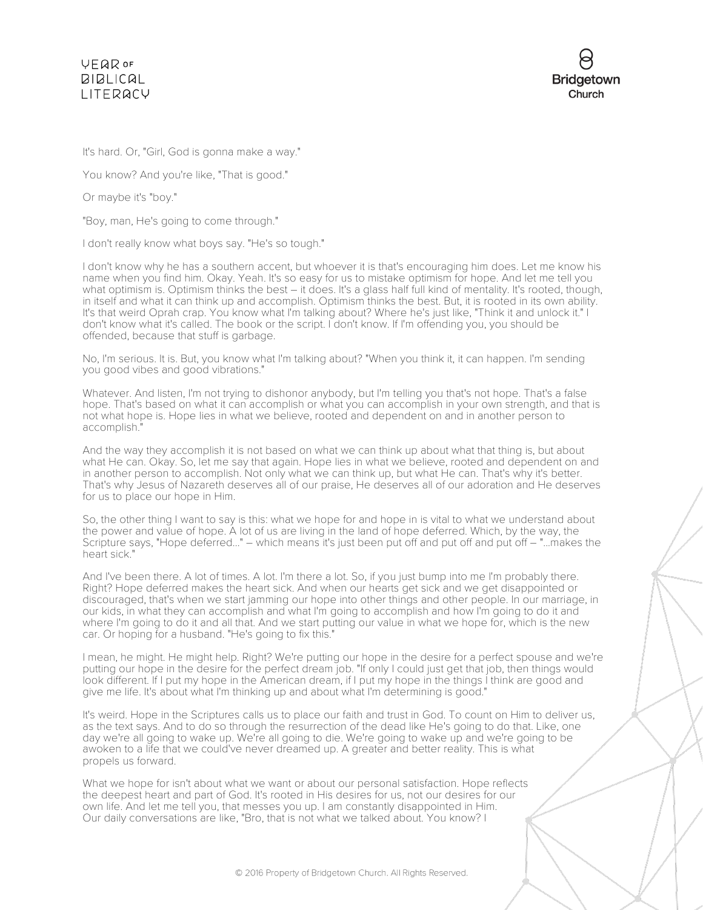

It's hard. Or, "Girl, God is gonna make a way."

You know? And you're like, "That is good."

Or maybe it's "boy."

"Boy, man, He's going to come through."

I don't really know what boys say. "He's so tough."

I don't know why he has a southern accent, but whoever it is that's encouraging him does. Let me know his name when you find him. Okay. Yeah. It's so easy for us to mistake optimism for hope. And let me tell you what optimism is. Optimism thinks the best – it does. It's a glass half full kind of mentality. It's rooted, though, in itself and what it can think up and accomplish. Optimism thinks the best. But, it is rooted in its own ability. It's that weird Oprah crap. You know what I'm talking about? Where he's just like, "Think it and unlock it." I don't know what it's called. The book or the script. I don't know. If I'm offending you, you should be offended, because that stuff is garbage.

No, I'm serious. It is. But, you know what I'm talking about? "When you think it, it can happen. I'm sending you good vibes and good vibrations."

Whatever. And listen, I'm not trying to dishonor anybody, but I'm telling you that's not hope. That's a false hope. That's based on what it can accomplish or what you can accomplish in your own strength, and that is not what hope is. Hope lies in what we believe, rooted and dependent on and in another person to accomplish."

And the way they accomplish it is not based on what we can think up about what that thing is, but about what He can. Okay. So, let me say that again. Hope lies in what we believe, rooted and dependent on and in another person to accomplish. Not only what we can think up, but what He can. That's why it's better. That's why Jesus of Nazareth deserves all of our praise, He deserves all of our adoration and He deserves for us to place our hope in Him.

So, the other thing I want to say is this: what we hope for and hope in is vital to what we understand about the power and value of hope. A lot of us are living in the land of hope deferred. Which, by the way, the Scripture says, "Hope deferred..." – which means it's just been put off and put off and put off – "...makes the heart sick."

And I've been there. A lot of times. A lot. I'm there a lot. So, if you just bump into me I'm probably there. Right? Hope deferred makes the heart sick. And when our hearts get sick and we get disappointed or discouraged, that's when we start jamming our hope into other things and other people. In our marriage, in our kids, in what they can accomplish and what I'm going to accomplish and how I'm going to do it and where I'm going to do it and all that. And we start putting our value in what we hope for, which is the new car. Or hoping for a husband. "He's going to fix this."

I mean, he might. He might help. Right? We're putting our hope in the desire for a perfect spouse and we're putting our hope in the desire for the perfect dream job. "If only I could just get that job, then things would look different. If I put my hope in the American dream, if I put my hope in the things I think are good and give me life. It's about what I'm thinking up and about what I'm determining is good."

It's weird. Hope in the Scriptures calls us to place our faith and trust in God. To count on Him to deliver us, as the text says. And to do so through the resurrection of the dead like He's going to do that. Like, one day we're all going to wake up. We're all going to die. We're going to wake up and we're going to be awoken to a life that we could've never dreamed up. A greater and better reality. This is what propels us forward.

What we hope for isn't about what we want or about our personal satisfaction. Hope reflects the deepest heart and part of God. It's rooted in His desires for us, not our desires for our own life. And let me tell you, that messes you up. I am constantly disappointed in Him. Our daily conversations are like, "Bro, that is not what we talked about. You know? I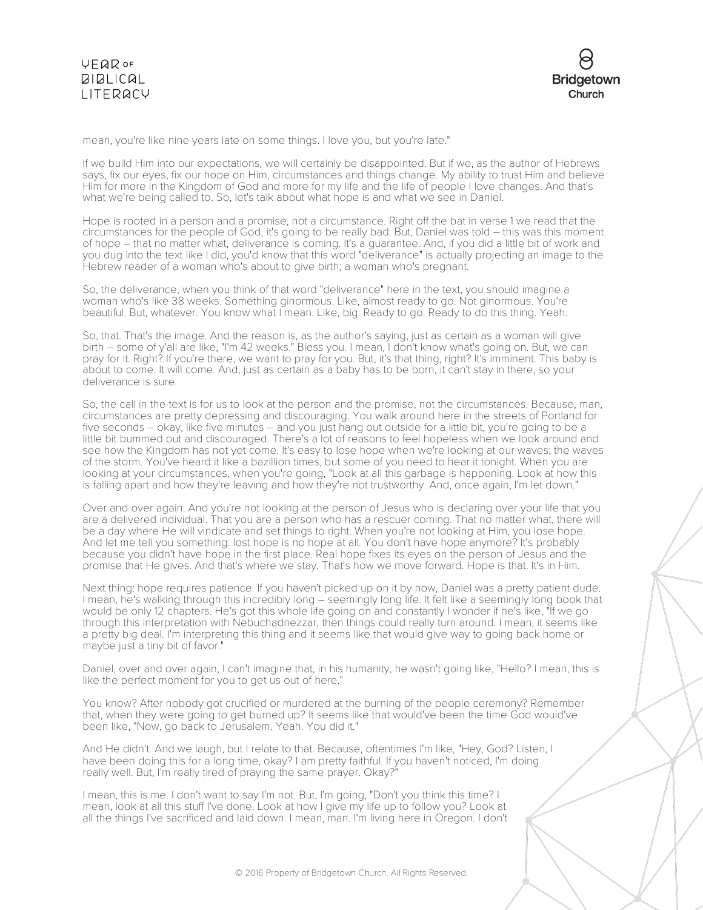



mean, you're like nine years late on some things. I love you, but you're late."

If we build Him into our expectations, we will certainly be disappointed. But if we, as the author of Hebrews says, fix our eyes, fix our hope on Him, circumstances and things change. My ability to trust Him and believe Him for more in the Kingdom of God and more for my life and the life of people I love changes. And that's what we're being called to. So, let's talk about what hope is and what we see in Daniel.

Hope is rooted in a person and a promise, not a circumstance. Right off the bat in verse 1 we read that the circumstances for the people of God, it's going to be really bad. But, Daniel was told – this was this moment of hope – that no matter what, deliverance is coming. It's a guarantee. And, if you did a little bit of work and you dug into the text like I did, you'd know that this word "deliverance" is actually projecting an image to the Hebrew reader of a woman who's about to give birth; a woman who's pregnant.

So, the deliverance, when you think of that word "deliverance" here in the text, you should imagine a woman who's like 38 weeks. Something ginormous. Like, almost ready to go. Not ginormous. You're beautiful. But, whatever. You know what I mean. Like, big. Ready to go. Ready to do this thing. Yeah.

So, that. That's the image. And the reason is, as the author's saying, just as certain as a woman will give birth – some of y'all are like, "I'm 42 weeks." Bless you. I mean, I don't know what's going on. But, we can pray for it. Right? If you're there, we want to pray for you. But, it's that thing, right? It's imminent. This baby is about to come. It will come. And, just as certain as a baby has to be born, it can't stay in there, so your deliverance is sure.

So, the call in the text is for us to look at the person and the promise, not the circumstances. Because, man, circumstances are pretty depressing and discouraging. You walk around here in the streets of Portland for five seconds – okay, like five minutes – and you just hang out outside for a little bit, you're going to be a little bit bummed out and discouraged. There's a lot of reasons to feel hopeless when we look around and see how the Kingdom has not yet come. It's easy to lose hope when we're looking at our waves; the waves of the storm. You've heard it like a bazillion times, but some of you need to hear it tonight. When you are looking at your circumstances, when you're going, "Look at all this garbage is happening. Look at how this is falling apart and how they're leaving and how they're not trustworthy. And, once again, I'm let down."

Over and over again. And you're not looking at the person of Jesus who is declaring over your life that you are a delivered individual. That you are a person who has a rescuer coming. That no matter what, there will be a day where He will vindicate and set things to right. When you're not looking at Him, you lose hope. And let me tell you something: lost hope is no hope at all. You don't have hope anymore? It's probably because you didn't have hope in the first place. Real hope fixes its eyes on the person of Jesus and the promise that He gives. And that's where we stay. That's how we move forward. Hope is that. It's in Him.

Next thing: hope requires patience. If you haven't picked up on it by now, Daniel was a pretty patient dude. I mean, he's walking through this incredibly long – seemingly long life. It felt like a seemingly long book that would be only 12 chapters. He's got this whole life going on and constantly I wonder if he's like, "If we go through this interpretation with Nebuchadnezzar, then things could really turn around. I mean, it seems like a pretty big deal. I'm interpreting this thing and it seems like that would give way to going back home or maybe just a tiny bit of favor."

Daniel, over and over again, I can't imagine that, in his humanity, he wasn't going like, "Hello? I mean, this is like the perfect moment for you to get us out of here."

You know? After nobody got crucified or murdered at the burning of the people ceremony? Remember that, when they were going to get burned up? It seems like that would've been the time God would've been like, "Now, go back to Jerusalem. Yeah. You did it."

And He didn't. And we laugh, but I relate to that. Because, oftentimes I'm like, "Hey, God? Listen, I have been doing this for a long time, okay? I am pretty faithful. If you haven't noticed, I'm doing really well. But, I'm really tired of praying the same prayer. Okay?"

I mean, this is me. I don't want to say I'm not. But, I'm going, "Don't you think this time? I mean, look at all this stuff I've done. Look at how I give my life up to follow you? Look at all the things I've sacrificed and laid down. I mean, man. I'm living here in Oregon. I don't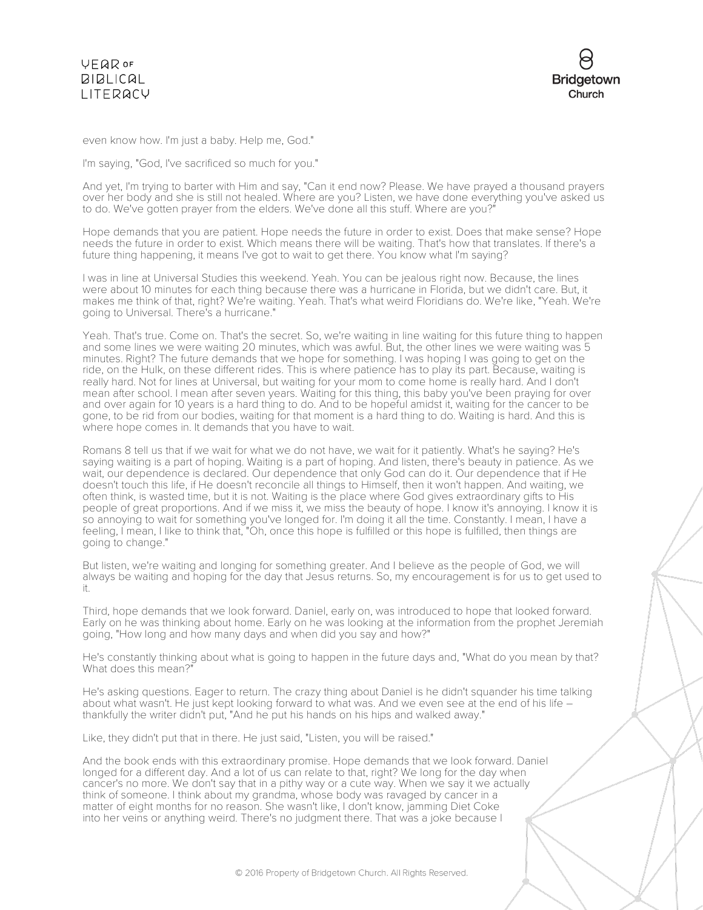



even know how. I'm just a baby. Help me, God."

I'm saying, "God, I've sacrificed so much for you."

And yet, I'm trying to barter with Him and say, "Can it end now? Please. We have prayed a thousand prayers over her body and she is still not healed. Where are you? Listen, we have done everything you've asked us to do. We've gotten prayer from the elders. We've done all this stuff. Where are you?"

Hope demands that you are patient. Hope needs the future in order to exist. Does that make sense? Hope needs the future in order to exist. Which means there will be waiting. That's how that translates. If there's a future thing happening, it means I've got to wait to get there. You know what I'm saying?

I was in line at Universal Studies this weekend. Yeah. You can be jealous right now. Because, the lines were about 10 minutes for each thing because there was a hurricane in Florida, but we didn't care. But, it makes me think of that, right? We're waiting. Yeah. That's what weird Floridians do. We're like, "Yeah. We're going to Universal. There's a hurricane."

Yeah. That's true. Come on. That's the secret. So, we're waiting in line waiting for this future thing to happen and some lines we were waiting 20 minutes, which was awful. But, the other lines we were waiting was 5 minutes. Right? The future demands that we hope for something. I was hoping I was going to get on the ride, on the Hulk, on these different rides. This is where patience has to play its part. Because, waiting is really hard. Not for lines at Universal, but waiting for your mom to come home is really hard. And I don't mean after school. I mean after seven years. Waiting for this thing, this baby you've been praying for over and over again for 10 years is a hard thing to do. And to be hopeful amidst it, waiting for the cancer to be gone, to be rid from our bodies, waiting for that moment is a hard thing to do. Waiting is hard. And this is where hope comes in. It demands that you have to wait.

Romans 8 tell us that if we wait for what we do not have, we wait for it patiently. What's he saying? He's saying waiting is a part of hoping. Waiting is a part of hoping. And listen, there's beauty in patience. As we wait, our dependence is declared. Our dependence that only God can do it. Our dependence that if He doesn't touch this life, if He doesn't reconcile all things to Himself, then it won't happen. And waiting, we often think, is wasted time, but it is not. Waiting is the place where God gives extraordinary gifts to His people of great proportions. And if we miss it, we miss the beauty of hope. I know it's annoying. I know it is so annoying to wait for something you've longed for. I'm doing it all the time. Constantly. I mean, I have a feeling, I mean, I like to think that, "Oh, once this hope is fulfilled or this hope is fulfilled, then things are going to change."

But listen, we're waiting and longing for something greater. And I believe as the people of God, we will always be waiting and hoping for the day that Jesus returns. So, my encouragement is for us to get used to it.

Third, hope demands that we look forward. Daniel, early on, was introduced to hope that looked forward. Early on he was thinking about home. Early on he was looking at the information from the prophet Jeremiah going, "How long and how many days and when did you say and how?"

He's constantly thinking about what is going to happen in the future days and, "What do you mean by that? What does this mean?"

He's asking questions. Eager to return. The crazy thing about Daniel is he didn't squander his time talking about what wasn't. He just kept looking forward to what was. And we even see at the end of his life – thankfully the writer didn't put, "And he put his hands on his hips and walked away."

Like, they didn't put that in there. He just said, "Listen, you will be raised."

And the book ends with this extraordinary promise. Hope demands that we look forward. Daniel longed for a different day. And a lot of us can relate to that, right? We long for the day when cancer's no more. We don't say that in a pithy way or a cute way. When we say it we actually think of someone. I think about my grandma, whose body was ravaged by cancer in a matter of eight months for no reason. She wasn't like, I don't know, jamming Diet Coke into her veins or anything weird. There's no judgment there. That was a joke because I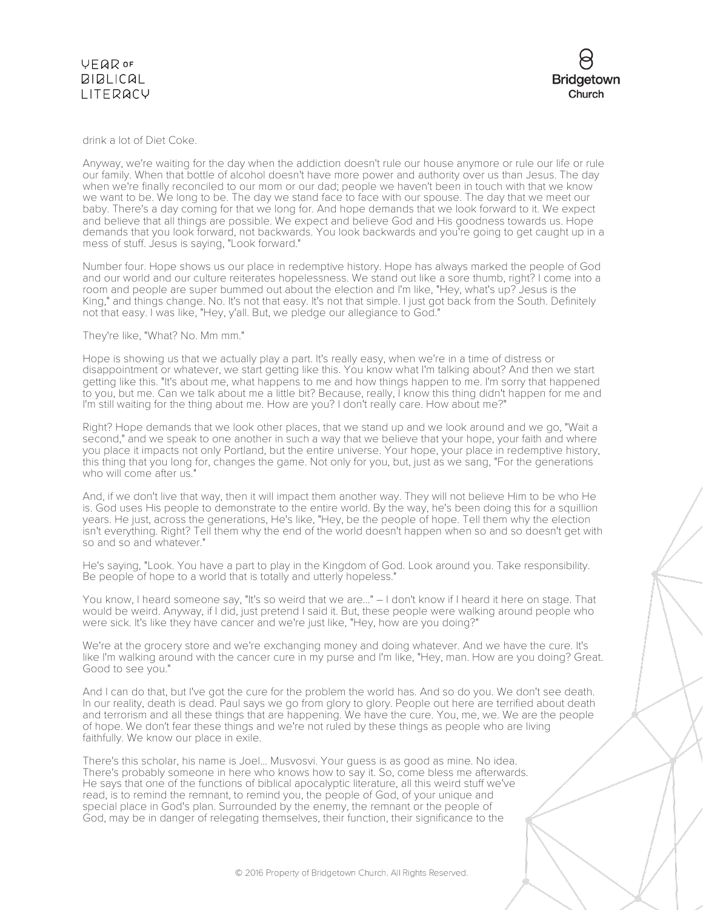#### VEQROF **BIBLICAL** LITERACY

drink a lot of Diet Coke.

Anyway, we're waiting for the day when the addiction doesn't rule our house anymore or rule our life or rule our family. When that bottle of alcohol doesn't have more power and authority over us than Jesus. The day when we're finally reconciled to our mom or our dad; people we haven't been in touch with that we know we want to be. We long to be. The day we stand face to face with our spouse. The day that we meet our baby. There's a day coming for that we long for. And hope demands that we look forward to it. We expect and believe that all things are possible. We expect and believe God and His goodness towards us. Hope demands that you look forward, not backwards. You look backwards and you're going to get caught up in a mess of stuff. Jesus is saying, "Look forward."

Number four. Hope shows us our place in redemptive history. Hope has always marked the people of God and our world and our culture reiterates hopelessness. We stand out like a sore thumb, right? I come into a room and people are super bummed out about the election and I'm like, "Hey, what's up? Jesus is the King," and things change. No. It's not that easy. It's not that simple. I just got back from the South. Definitely not that easy. I was like, "Hey, y'all. But, we pledge our allegiance to God."

#### They're like, "What? No. Mm mm."

Hope is showing us that we actually play a part. It's really easy, when we're in a time of distress or disappointment or whatever, we start getting like this. You know what I'm talking about? And then we start getting like this. "It's about me, what happens to me and how things happen to me. I'm sorry that happened to you, but me. Can we talk about me a little bit? Because, really, I know this thing didn't happen for me and I'm still waiting for the thing about me. How are you? I don't really care. How about me?"

Right? Hope demands that we look other places, that we stand up and we look around and we go, "Wait a second," and we speak to one another in such a way that we believe that your hope, your faith and where you place it impacts not only Portland, but the entire universe. Your hope, your place in redemptive history, this thing that you long for, changes the game. Not only for you, but, just as we sang, "For the generations who will come after us."

And, if we don't live that way, then it will impact them another way. They will not believe Him to be who He is. God uses His people to demonstrate to the entire world. By the way, he's been doing this for a squillion years. He just, across the generations, He's like, "Hey, be the people of hope. Tell them why the election isn't everything. Right? Tell them why the end of the world doesn't happen when so and so doesn't get with so and so and whatever."

He's saying, "Look. You have a part to play in the Kingdom of God. Look around you. Take responsibility. Be people of hope to a world that is totally and utterly hopeless."

You know, I heard someone say, "It's so weird that we are..." – I don't know if I heard it here on stage. That would be weird. Anyway, if I did, just pretend I said it. But, these people were walking around people who were sick. It's like they have cancer and we're just like, "Hey, how are you doing?"

We're at the grocery store and we're exchanging money and doing whatever. And we have the cure. It's like I'm walking around with the cancer cure in my purse and I'm like, "Hey, man. How are you doing? Great. Good to see you."

And I can do that, but I've got the cure for the problem the world has. And so do you. We don't see death. In our reality, death is dead. Paul says we go from glory to glory. People out here are terrified about death and terrorism and all these things that are happening. We have the cure. You, me, we. We are the people of hope. We don't fear these things and we're not ruled by these things as people who are living faithfully. We know our place in exile.

There's this scholar, his name is Joel... Musvosvi. Your guess is as good as mine. No idea. There's probably someone in here who knows how to say it. So, come bless me afterwards. He says that one of the functions of biblical apocalyptic literature, all this weird stuff we've read, is to remind the remnant, to remind you, the people of God, of your unique and special place in God's plan. Surrounded by the enemy, the remnant or the people of God, may be in danger of relegating themselves, their function, their significance to the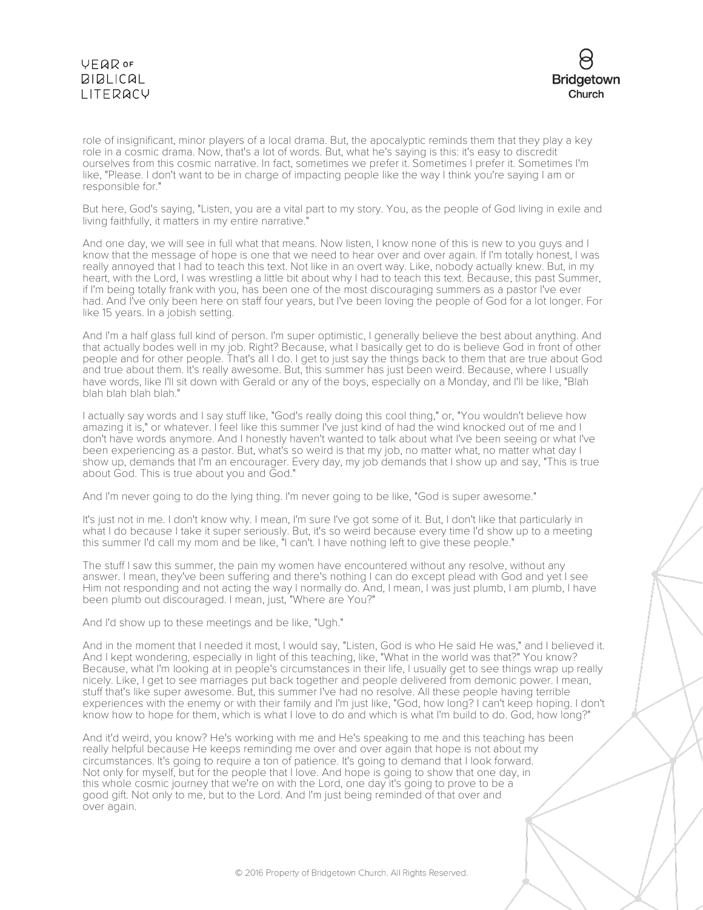# **VEQR OF BIBLICAL** LITERACY



role of insignificant, minor players of a local drama. But, the apocalyptic reminds them that they play a key role in a cosmic drama. Now, that's a lot of words. But, what he's saying is this: it's easy to discredit ourselves from this cosmic narrative. In fact, sometimes we prefer it. Sometimes I prefer it. Sometimes I'm like, "Please. I don't want to be in charge of impacting people like the way I think you're saying I am or responsible for."

But here, God's saying, "Listen, you are a vital part to my story. You, as the people of God living in exile and living faithfully, it matters in my entire narrative.

And one day, we will see in full what that means. Now listen, I know none of this is new to you guys and I know that the message of hope is one that we need to hear over and over again. If I'm totally honest, I was really annoyed that I had to teach this text. Not like in an overt way. Like, nobody actually knew. But, in my heart, with the Lord, I was wrestling a little bit about why I had to teach this text. Because, this past Summer, if I'm being totally frank with you, has been one of the most discouraging summers as a pastor I've ever had. And I've only been here on staff four years, but I've been loving the people of God for a lot longer. For like 15 years. In a jobish setting.

And I'm a half glass full kind of person. I'm super optimistic, I generally believe the best about anything. And that actually bodes well in my job. Right? Because, what I basically get to do is believe God in front of other people and for other people. That's all I do. I get to just say the things back to them that are true about God and true about them. It's really awesome. But, this summer has just been weird. Because, where I usually have words, like I'll sit down with Gerald or any of the boys, especially on a Monday, and I'll be like, "Blah blah blah blah blah."

I actually say words and I say stuff like, "God's really doing this cool thing," or, "You wouldn't believe how amazing it is," or whatever. I feel like this summer I've just kind of had the wind knocked out of me and I don't have words anymore. And I honestly haven't wanted to talk about what I've been seeing or what I've been experiencing as a pastor. But, what's so weird is that my job, no matter what, no matter what day I show up, demands that I'm an encourager. Every day, my job demands that I show up and say, "This is true about God. This is true about you and God."

And I'm never going to do the lying thing. I'm never going to be like, "God is super awesome."

It's just not in me. I don't know why. I mean, I'm sure I've got some of it. But, I don't like that particularly in what I do because I take it super seriously. But, it's so weird because every time I'd show up to a meeting this summer I'd call my mom and be like, "I can't. I have nothing left to give these people."

The stuff I saw this summer, the pain my women have encountered without any resolve, without any answer. I mean, they've been suffering and there's nothing I can do except plead with God and yet I see Him not responding and not acting the way I normally do. And, I mean, I was just plumb, I am plumb, I have been plumb out discouraged. I mean, just, "Where are You?"

And I'd show up to these meetings and be like, "Ugh."

And in the moment that I needed it most, I would say, "Listen, God is who He said He was," and I believed it. And I kept wondering, especially in light of this teaching, like, "What in the world was that?" You know? Because, what I'm looking at in people's circumstances in their life, I usually get to see things wrap up really nicely. Like, I get to see marriages put back together and people delivered from demonic power. I mean, stuff that's like super awesome. But, this summer I've had no resolve. All these people having terrible experiences with the enemy or with their family and I'm just like, "God, how long? I can't keep hoping. I don't know how to hope for them, which is what I love to do and which is what I'm build to do. God, how long?"

And it'd weird, you know? He's working with me and He's speaking to me and this teaching has been really helpful because He keeps reminding me over and over again that hope is not about my circumstances. It's going to require a ton of patience. It's going to demand that I look forward. Not only for myself, but for the people that I love. And hope is going to show that one day, in this whole cosmic journey that we're on with the Lord, one day it's going to prove to be a good gift. Not only to me, but to the Lord. And I'm just being reminded of that over and over again.